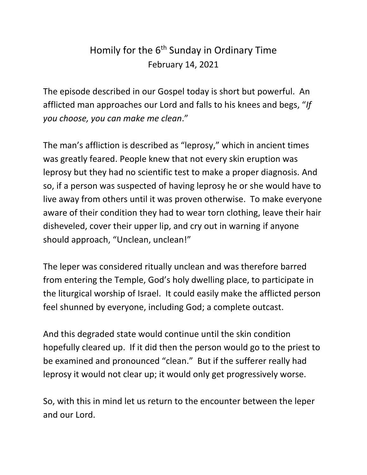## Homily for the 6<sup>th</sup> Sunday in Ordinary Time February 14, 2021

The episode described in our Gospel today is short but powerful. An afflicted man approaches our Lord and falls to his knees and begs, "*If you choose, you can make me clean*."

The man's affliction is described as "leprosy," which in ancient times was greatly feared. People knew that not every skin eruption was leprosy but they had no scientific test to make a proper diagnosis. And so, if a person was suspected of having leprosy he or she would have to live away from others until it was proven otherwise. To make everyone aware of their condition they had to wear torn clothing, leave their hair disheveled, cover their upper lip, and cry out in warning if anyone should approach, "Unclean, unclean!"

The leper was considered ritually unclean and was therefore barred from entering the Temple, God's holy dwelling place, to participate in the liturgical worship of Israel. It could easily make the afflicted person feel shunned by everyone, including God; a complete outcast.

And this degraded state would continue until the skin condition hopefully cleared up. If it did then the person would go to the priest to be examined and pronounced "clean." But if the sufferer really had leprosy it would not clear up; it would only get progressively worse.

So, with this in mind let us return to the encounter between the leper and our Lord.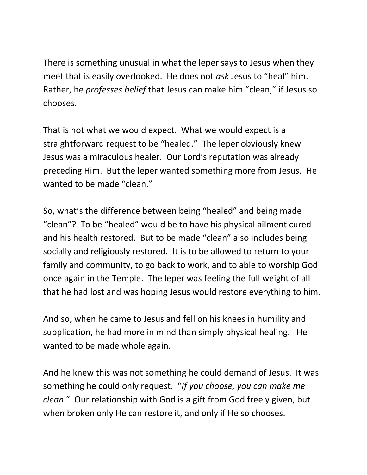There is something unusual in what the leper says to Jesus when they meet that is easily overlooked. He does not *ask* Jesus to "heal" him. Rather, he *professes belief* that Jesus can make him "clean," if Jesus so chooses.

That is not what we would expect. What we would expect is a straightforward request to be "healed." The leper obviously knew Jesus was a miraculous healer. Our Lord's reputation was already preceding Him. But the leper wanted something more from Jesus. He wanted to be made "clean."

So, what's the difference between being "healed" and being made "clean"? To be "healed" would be to have his physical ailment cured and his health restored. But to be made "clean" also includes being socially and religiously restored. It is to be allowed to return to your family and community, to go back to work, and to able to worship God once again in the Temple. The leper was feeling the full weight of all that he had lost and was hoping Jesus would restore everything to him.

And so, when he came to Jesus and fell on his knees in humility and supplication, he had more in mind than simply physical healing. He wanted to be made whole again.

And he knew this was not something he could demand of Jesus. It was something he could only request. "*If you choose, you can make me clean*." Our relationship with God is a gift from God freely given, but when broken only He can restore it, and only if He so chooses.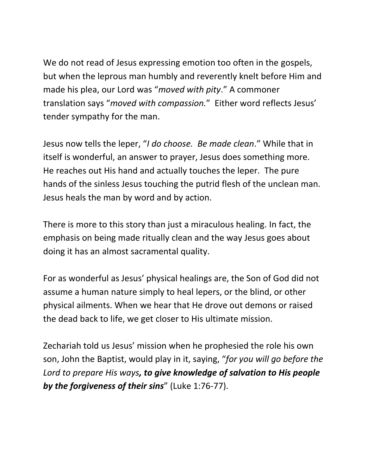We do not read of Jesus expressing emotion too often in the gospels, but when the leprous man humbly and reverently knelt before Him and made his plea, our Lord was "*moved with pity*." A commoner translation says "*moved with compassion.*" Either word reflects Jesus' tender sympathy for the man.

Jesus now tells the leper, "*I do choose. Be made clean*." While that in itself is wonderful, an answer to prayer, Jesus does something more. He reaches out His hand and actually touches the leper. The pure hands of the sinless Jesus touching the putrid flesh of the unclean man. Jesus heals the man by word and by action.

There is more to this story than just a miraculous healing. In fact, the emphasis on being made ritually clean and the way Jesus goes about doing it has an almost sacramental quality.

For as wonderful as Jesus' physical healings are, the Son of God did not assume a human nature simply to heal lepers, or the blind, or other physical ailments. When we hear that He drove out demons or raised the dead back to life, we get closer to His ultimate mission.

Zechariah told us Jesus' mission when he prophesied the role his own son, John the Baptist, would play in it, saying, "*for you will go before the Lord to prepare His ways, to give knowledge of salvation to His people by the forgiveness of their sins*" (Luke 1:76-77).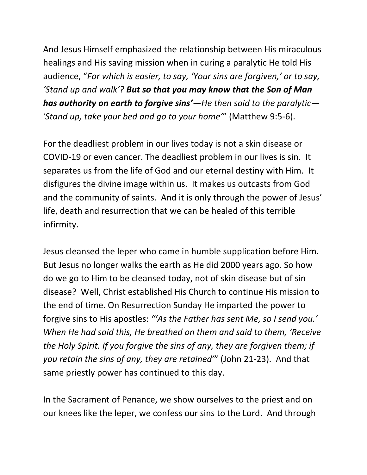And Jesus Himself emphasized the relationship between His miraculous healings and His saving mission when in curing a paralytic He told His audience, "*For which is easier, to say, 'Your sins are forgiven,' or to say, 'Stand up and walk'? But so that you may know that the Son of Man has authority on earth to forgive sins'—He then said to the paralytic— 'Stand up, take your bed and go to your home'*" (Matthew 9:5-6).

For the deadliest problem in our lives today is not a skin disease or COVID-19 or even cancer. The deadliest problem in our lives is sin. It separates us from the life of God and our eternal destiny with Him. It disfigures the divine image within us. It makes us outcasts from God and the community of saints. And it is only through the power of Jesus' life, death and resurrection that we can be healed of this terrible infirmity.

Jesus cleansed the leper who came in humble supplication before Him. But Jesus no longer walks the earth as He did 2000 years ago. So how do we go to Him to be cleansed today, not of skin disease but of sin disease? Well, Christ established His Church to continue His mission to the end of time. On Resurrection Sunday He imparted the power to forgive sins to His apostles: *"'As the Father has sent Me, so I send you.' When He had said this, He breathed on them and said to them, 'Receive the Holy Spirit. If you forgive the sins of any, they are forgiven them; if you retain the sins of any, they are retained'*" (John 21-23). And that same priestly power has continued to this day.

In the Sacrament of Penance, we show ourselves to the priest and on our knees like the leper, we confess our sins to the Lord. And through